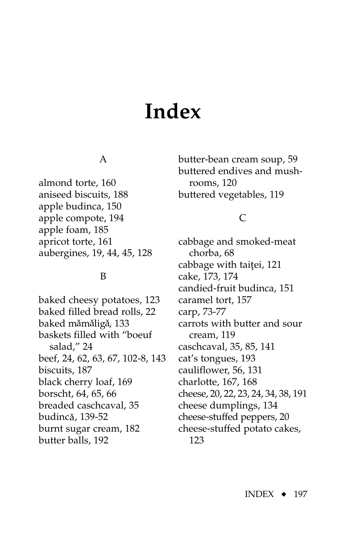# **Index**

## A

almond torte, [160](#page-7-0) aniseed biscuits, [188](#page-10-0) apple budinca, 150 apple comp[ote,](#page-7-0) 194 apple foam, 185 apricot torte, [161](#page-8-0) aubergines, 19, 44, [45,](#page-5-0) 128

#### B

baked cheesy potatoes, [12](#page-6-0)[3](#page-9-0) baked filled bread rolls, 22 ˆ ˆ ˆ baked mămăligă, 133 baskets fil[led](#page-8-0) with "boeuf sal[ad](#page-8-0),[" 2](#page-9-0)4 beef, 24, [62,](#page-9-0) [63,](#page-10-0) 67, 102-8, [143](#page-6-0) biscuits, 187 black ch[err](#page-11-0)y loaf, 169 borscht, 64, 65, 66 breaded [casc](#page-2-0)hcaval, 35 ˆ budincă*,* 139-52 burnt sugar cream, [182](#page-4-0) butter balls, 192

butter-bean cream soup, [59](#page-6-0) buttered [endi](#page-6-0)ves and mushrooms, 120 buttered vegetables, [119](#page-5-0)

# C

cabbage and smoked-meat chorba, 68 cabbage with taitei, [121](#page-7-0) cake, 173, 174 candied-fruit [bud](#page-4-0)inca, 151 cara[mel](#page-2-0) [tor](#page-6-0)t, 157 carp, 73-77 carrots w[ith b](#page-5-0)utter and sour cream, 119 caschcaval, 35, 85, [141](#page-4-0) cat's tongue[s, 1](#page-3-0)93 cauliflower, 56, 131 charlot[te,](#page-4-0) [167](#page-6-0)[, 1](#page-7-0)68 cheese, 20, 22, 23, [24,](#page-8-0) 34, 38, 191 cheese dumplings, 134 cheese-stuffed peppers, [20](#page-4-0) ch[eese](#page-9-0)-stuffed potato cakes, 123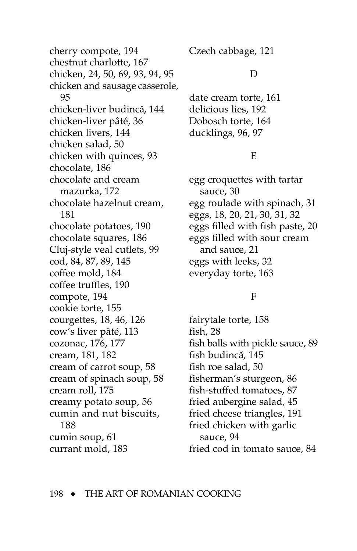cherry compote, 194 chestnut charlotte, 167 chicken, 24, 50, 69, 93, 94, 95 chicken and sausage casserole, 95 chicken-liver budincă, 144 chicken-liver pâté, 36 chicken livers. 144 chicken salad, 50 chicken with quinces, 93 chocolate, 186 chocolate and cream mazurka, 172 chocolate hazelnut cream, 181 chocolate potatoes, 190 chocolate squares, 186 Cluj-style veal cutlets, 99 cod, 84, 87, 89, 145 coffee mold, 184 coffee truffles, 190 compote, 194 cookie torte, 155 courgettes, 18, 46, 126 cow's liver pâté, 113 cozonac, 176, 177 cream, 181, 182 cream of carrot soup, 58 cream of spinach soup, 58 cream roll, 175 creamy potato soup, 56 cumin and nut biscuits, 188 cumin soup, 61 currant mold, 183

Czech cabbage, 121

## D

date cream torte, 161 delicious lies, 192 Dobosch torte, 164 ducklings, 96, 97

# E

egg croquettes with tartar sauce, 30 egg roulade with spinach, 31 eggs, 18, 20, 21, 30, 31, 32 eggs filled with fish paste, 20 eggs filled with sour cream and sauce, 21 eggs with leeks, 32 everyday torte, 163

# $\mathbf{F}$

fairytale torte, 158 fish, 28 fish balls with pickle sauce, 89 fish budincă, 145 fish roe salad, 50 fisherman's sturgeon, 86 fish-stuffed tomatoes, 87 fried aubergine salad, 45 fried cheese triangles, 191 fried chicken with garlic sauce. 94 fried cod in tomato sauce, 84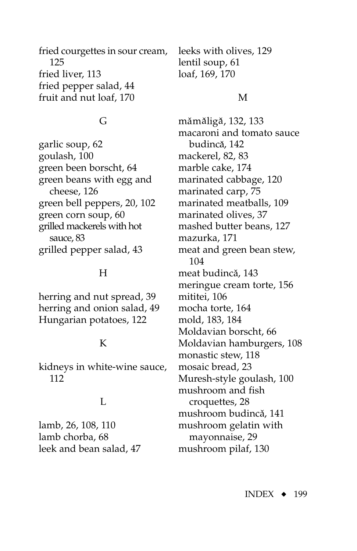<span id="page-2-0"></span>fri[ed c](#page-11-0)ourgettes in sour cream, 125 fried liver, 113 fried pepper salad, [44](#page-4-0) fruit and nut loaf, 170

#### G

garlic so[up,](#page-10-0) [62](#page-9-0) goulash, 100 green been borscht, [64](#page-11-0) green beans with egg and cheese, 126 green bell peppe[rs,](#page-7-0) [20](#page-4-0), 102 green corn soup, 60 grilled mackerels with hot sauce, 83 grilled pepper salad, [43](#page-3-0)

#### H

herring and nut spread, 39 herring and onion sa[lad,](#page-8-0) [49](#page-9-0) Hungarian potatoes, 122

#### K

kidneys in white-wine sauce, 112

#### L

lamb, [26](#page-10-0), 108, 110 lamb chorba, 68 leek and bean salad, [47](#page-7-0)

leeks with [oliv](#page-8-0)es, 129 lentil soup, 61 loaf, 169, 170

#### M

mămăligă, 132, 133 macaroni a[nd t](#page-5-0)omato sauce ˆ budincă, 142 mackerel, 82, 83 marble cake, 174 marinated cabb[age](#page-4-0), [120](#page-6-0) marinated carp, 75 marinated meatballs, 109 marinated olives, 37 mashed butter beans, 127 mazurka, 171 meat and green bean stew, 104 meat budincă, [143](#page-6-0) meringue cream torte, [156](#page-3-0) mititei, 106 moch[a tor](#page-5-0)t[e, 1](#page-6-0)[64](#page-11-0) mold, 183, 184 Moldavian borscht, 66 Moldavian ha[mbu](#page-4-0)rgers, 108 monastic stew[, 11](#page-7-0)8 mosaic bread, 23 Muresh-style goulash, [100](#page-10-0) mushroom and fish croquettes, 28 mushroom budincă, [141](#page-4-0) mushroom gelatin with mayonnaise, 29 mushroom pilaf, 130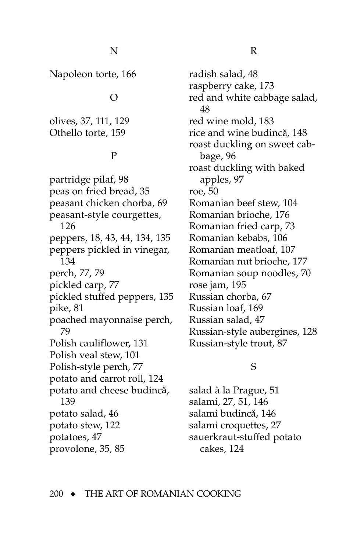<span id="page-3-0"></span>Napoleon torte, 166

#### $\Omega$

olives, 37, 111[, 129](#page-6-0) Othello torte, 159

## P

partridge pilaf, [98](#page-8-0) peas on fried bread, 35 peasant chicken chorba, 69 peasant-style courgettes, 126 peppers, [18](#page-2-0), 43, [44,](#page-4-0) 134, 135 peppers pickled in vinegar, 134 perch, [77](#page-6-0), [79](#page-8-0) pickled carp, [77](#page-6-0) pickl[ed](#page-10-0) stuffed peppers, 135 pike, 81 p[oach](#page-8-0)ed mayonnaise perch, 79 Polish cauliflowe[r, 13](#page-11-0)1 Polish veal stew, 101 Polish-style perch, [77](#page-6-0) potato and carrot roll, [124](#page-10-0) ˆ p[otato](#page-2-0) and cheese budincă, 139 potato salad[, 46](#page-8-0) potato st[ew,](#page-7-0) 122 potatoes, 47 provolone, 35, 85

radish salad, [48](#page-8-0) raspberry cake, 173 re[d a](#page-8-0)nd white cabbage salad, 48 red wine mold, [183](#page-5-0) rice and wine budincă, [148](#page-11-0) roast du[ckl](#page-6-0)ing on sweet cabbage, 96 roast duc[klin](#page-7-0)g with baked a[ppl](#page-10-0)es, 97 roe, 50 Romanian beef stew, 104 Romanian brioche, 176 Romanian fried carp, [73](#page-2-0) Romanian kebabs, 106 Romanian meatloaf, 107 Romanian nut brioche, 177 Romanian soup noodles, 70 rose jam, 195 Russian chorba, 67 Russian loaf, 1[69](#page-7-0) Russian salad, 47 Russian-style aubergines, 128 Russian-style trout, 87

# S

salad à [la Pra](#page-11-0)[gue,](#page-9-0) [51](#page-11-0) salami, 27, 51, 146 ˆ salami budincă, [146](#page-9-0) salami croquettes, [27](#page-11-0) sauerkra[ut-st](#page-10-0)uffed potato cakes, 124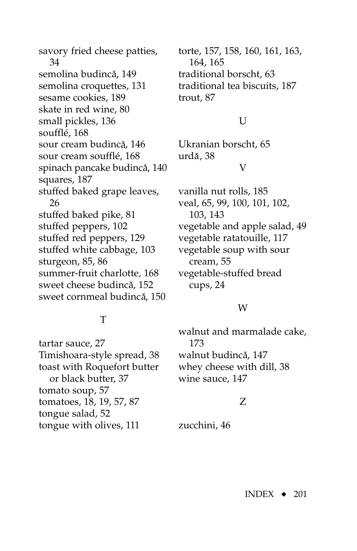<span id="page-4-0"></span>savory fried cheese patties, 34 semolina budincă, 149 semolina croqu[ettes](#page-11-0), 131 sesame cookies, 189 skate in red wine, [80](#page-9-0) small pickles, 136 soufflé, 168 sour cream budincă, [146](#page-9-0) sour cream soufflé, 168 spinach [panc](#page-9-0)ake budincă, [140](#page-3-0) squares, 187 st[uffe](#page-10-0)d baked grape leaves, 26 stuffed baked pike, [81](#page-10-0) stuffed peppers, 102 stuffed red peppers, 129 stuffed white cabbage, 103 sturgeon, 85, 86 summer-fruit charlotte, 168 ˆ sweet cheese budincă, 152 sweet cornmeal budincă, 150

## T

tartar sauce, [27](#page-11-0) Timishoara-style spread, 38 toast with Roquefort butter or black butter, 37 tomato so[up](#page-2-0), [57](#page-3-0) tomatoes, 18, 19, 57, 87 tongue salad, 52 tongue with olives, 111

to[rte, 1](#page-11-0)57, [158](#page-5-0), [160,](#page-7-0) [161,](#page-8-0) [163](#page-10-0), 164, 165 traditional borscht, [63](#page-10-0) traditional tea biscuits, [187](#page-9-0) trout, 87

#### U

Ukranian borscht, 65 ˆ urdă*,* 38

#### V

vanilla n[ut](#page-9-0) [rolls](#page-10-0), [185](#page-11-0) veal, 6[5, 99](#page-6-0), 100, 101, 102, 103, 143 vegetable and apple s[alad](#page-3-0), [49](#page-9-0) vegetable ratatouille, 117 vegetable [so](#page-2-0)up with sour cream, 55 vegetab[le-s](#page-8-0)tuffed bread cups, 24

#### W

walnut and marmalade cake, 173 walnut budincă, [147](#page-10-0) whey chees[e wi](#page-10-0)th dill, 38 wine sauce, 147

## Z

zucchini, [46](#page-6-0)

INDEX ◆ 201